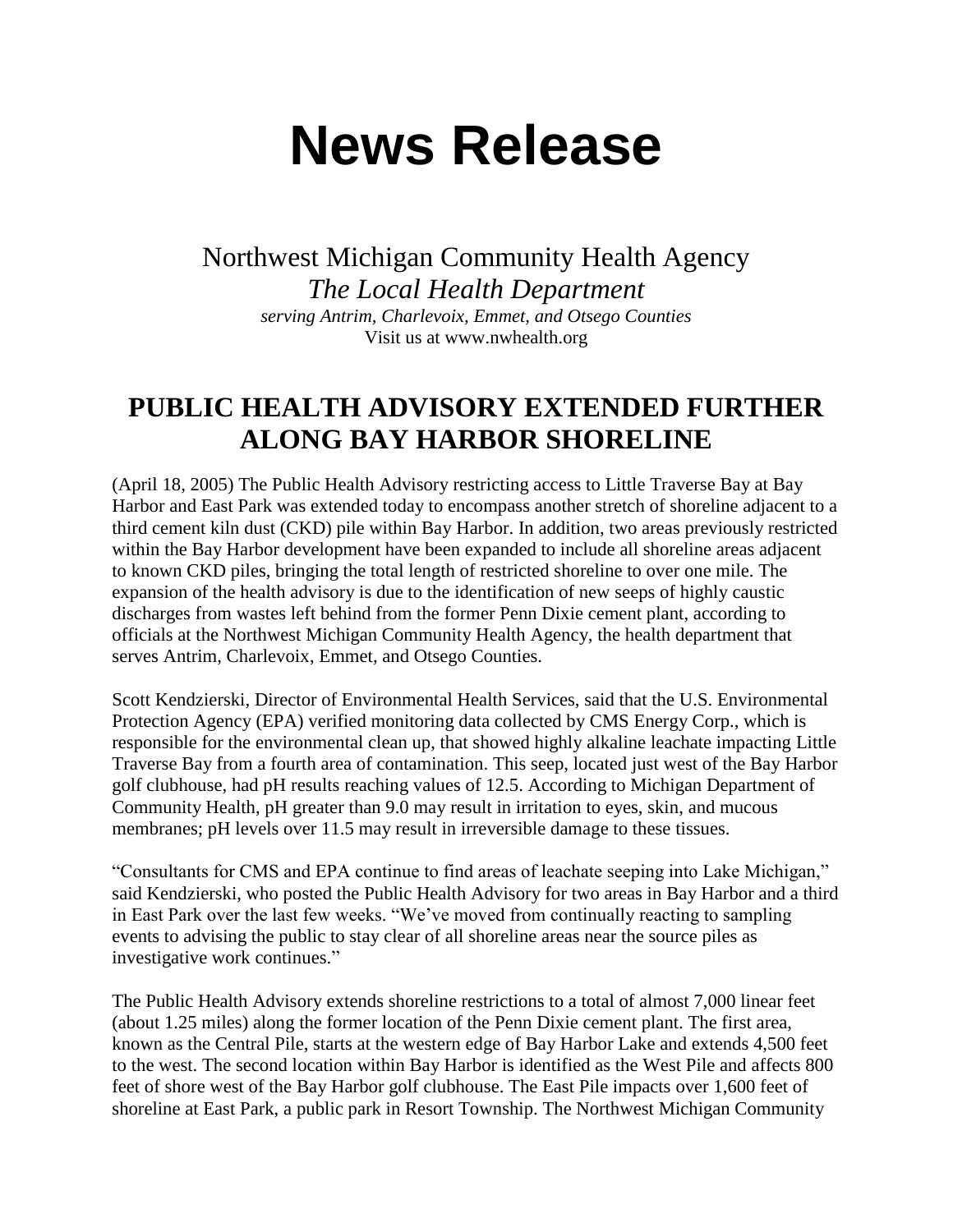## **News Release**

Northwest Michigan Community Health Agency *The Local Health Department serving Antrim, Charlevoix, Emmet, and Otsego Counties* Visit us at www.nwhealth.org

## **PUBLIC HEALTH ADVISORY EXTENDED FURTHER ALONG BAY HARBOR SHORELINE**

(April 18, 2005) The Public Health Advisory restricting access to Little Traverse Bay at Bay Harbor and East Park was extended today to encompass another stretch of shoreline adjacent to a third cement kiln dust (CKD) pile within Bay Harbor. In addition, two areas previously restricted within the Bay Harbor development have been expanded to include all shoreline areas adjacent to known CKD piles, bringing the total length of restricted shoreline to over one mile. The expansion of the health advisory is due to the identification of new seeps of highly caustic discharges from wastes left behind from the former Penn Dixie cement plant, according to officials at the Northwest Michigan Community Health Agency, the health department that serves Antrim, Charlevoix, Emmet, and Otsego Counties.

Scott Kendzierski, Director of Environmental Health Services, said that the U.S. Environmental Protection Agency (EPA) verified monitoring data collected by CMS Energy Corp., which is responsible for the environmental clean up, that showed highly alkaline leachate impacting Little Traverse Bay from a fourth area of contamination. This seep, located just west of the Bay Harbor golf clubhouse, had pH results reaching values of 12.5. According to Michigan Department of Community Health, pH greater than 9.0 may result in irritation to eyes, skin, and mucous membranes; pH levels over 11.5 may result in irreversible damage to these tissues.

"Consultants for CMS and EPA continue to find areas of leachate seeping into Lake Michigan," said Kendzierski, who posted the Public Health Advisory for two areas in Bay Harbor and a third in East Park over the last few weeks. "We've moved from continually reacting to sampling events to advising the public to stay clear of all shoreline areas near the source piles as investigative work continues."

The Public Health Advisory extends shoreline restrictions to a total of almost 7,000 linear feet (about 1.25 miles) along the former location of the Penn Dixie cement plant. The first area, known as the Central Pile, starts at the western edge of Bay Harbor Lake and extends 4,500 feet to the west. The second location within Bay Harbor is identified as the West Pile and affects 800 feet of shore west of the Bay Harbor golf clubhouse. The East Pile impacts over 1,600 feet of shoreline at East Park, a public park in Resort Township. The Northwest Michigan Community